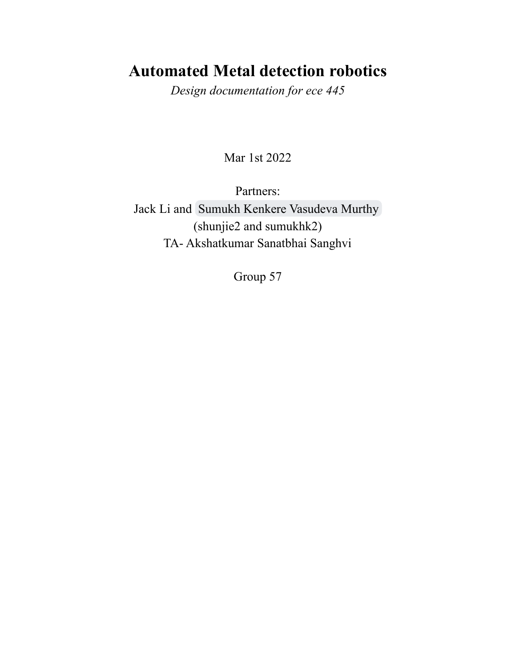# **Automated Metal detection robotics**

*Design documentation for ece 445*

Mar 1st 2022

Partners: Jack Li and [Sumukh Kenkere Vasudeva Murthy](mailto:sumukhk2@illinois.edu) (shunjie2 and sumukhk2) TA- Akshatkumar Sanatbhai Sanghvi

Group 57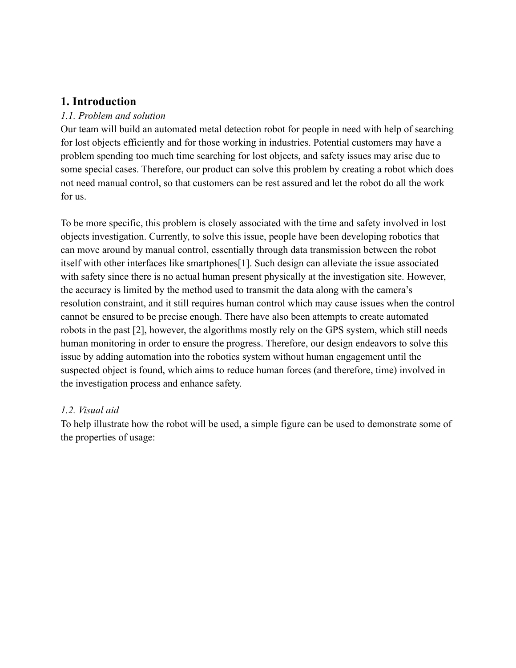# **1. Introduction**

#### *1.1. Problem and solution*

Our team will build an automated metal detection robot for people in need with help of searching for lost objects efficiently and for those working in industries. Potential customers may have a problem spending too much time searching for lost objects, and safety issues may arise due to some special cases. Therefore, our product can solve this problem by creating a robot which does not need manual control, so that customers can be rest assured and let the robot do all the work for us.

To be more specific, this problem is closely associated with the time and safety involved in lost objects investigation. Currently, to solve this issue, people have been developing robotics that can move around by manual control, essentially through data transmission between the robot itself with other interfaces like smartphones[1]. Such design can alleviate the issue associated with safety since there is no actual human present physically at the investigation site. However, the accuracy is limited by the method used to transmit the data along with the camera's resolution constraint, and it still requires human control which may cause issues when the control cannot be ensured to be precise enough. There have also been attempts to create automated robots in the past [2], however, the algorithms mostly rely on the GPS system, which still needs human monitoring in order to ensure the progress. Therefore, our design endeavors to solve this issue by adding automation into the robotics system without human engagement until the suspected object is found, which aims to reduce human forces (and therefore, time) involved in the investigation process and enhance safety.

#### *1.2. Visual aid*

To help illustrate how the robot will be used, a simple figure can be used to demonstrate some of the properties of usage: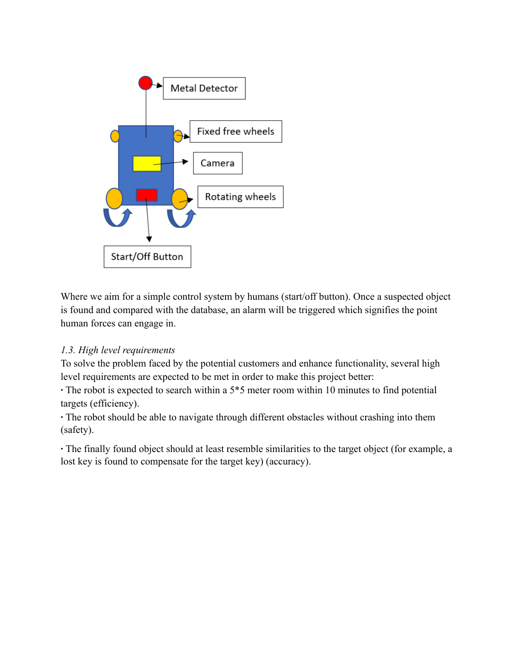

Where we aim for a simple control system by humans (start/off button). Once a suspected object is found and compared with the database, an alarm will be triggered which signifies the point human forces can engage in.

### *1.3. High level requirements*

To solve the problem faced by the potential customers and enhance functionality, several high level requirements are expected to be met in order to make this project better:

**∙** The robot is expected to search within a 5\*5 meter room within 10 minutes to find potential targets (efficiency).

**∙** The robot should be able to navigate through different obstacles without crashing into them (safety).

**∙** The finally found object should at least resemble similarities to the target object (for example, a lost key is found to compensate for the target key) (accuracy).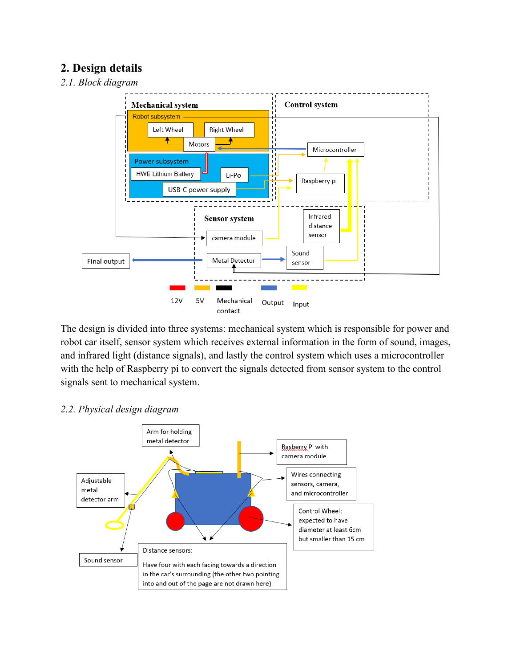# **2. Design details**

#### *2.1. Block diagram*



The design is divided into three systems: mechanical system which is responsible for power and robot car itself, sensor system which receives external information in the form of sound, images, and infrared light (distance signals), and lastly the control system which uses a microcontroller with the help of Raspberry pi to convert the signals detected from sensor system to the control signals sent to mechanical system.

#### Arm for holding metal detector Rasberry Pi with camera module Wires connecting Adjustable sensors, camera, metal and microcontroller detector arm Control Wheel: expected to have diameter at least 6cm but smaller than 15 cm Distance sensors: Sound sensor Have four with each facing towards a direction in the car's surrounding (the other two pointing into and out of the page are not drawn here)

#### *2.2. Physical design diagram*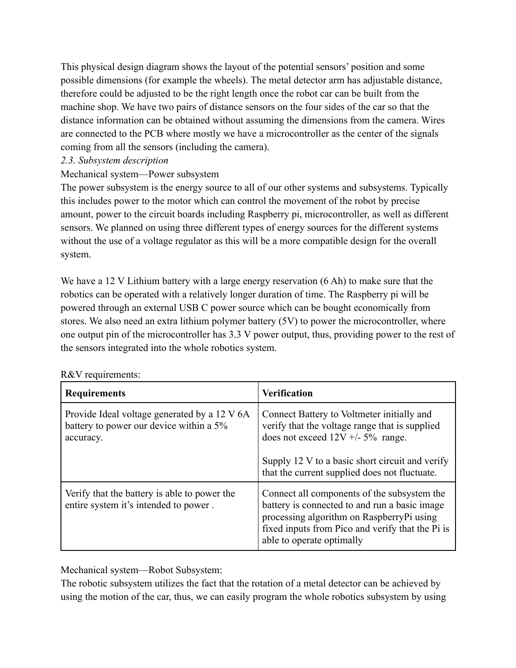This physical design diagram shows the layout of the potential sensors' position and some possible dimensions (for example the wheels). The metal detector arm has adjustable distance, therefore could be adjusted to be the right length once the robot car can be built from the machine shop. We have two pairs of distance sensors on the four sides of the car so that the distance information can be obtained without assuming the dimensions from the camera. Wires are connected to the PCB where mostly we have a microcontroller as the center of the signals coming from all the sensors (including the camera).

#### *2.3. Subsystem description*

### Mechanical system—Power subsystem

The power subsystem is the energy source to all of our other systems and subsystems. Typically this includes power to the motor which can control the movement of the robot by precise amount, power to the circuit boards including Raspberry pi, microcontroller, as well as different sensors. We planned on using three different types of energy sources for the different systems without the use of a voltage regulator as this will be a more compatible design for the overall system.

We have a 12 V Lithium battery with a large energy reservation (6 Ah) to make sure that the robotics can be operated with a relatively longer duration of time. The Raspberry pi will be powered through an external USB C power source which can be bought economically from stores. We also need an extra lithium polymer battery (5V) to power the microcontroller, where one output pin of the microcontroller has 3.3 V power output, thus, providing power to the rest of the sensors integrated into the whole robotics system.

| <b>Requirements</b>                                                                                  | <b>Verification</b>                                                                                                                                                                                                                    |
|------------------------------------------------------------------------------------------------------|----------------------------------------------------------------------------------------------------------------------------------------------------------------------------------------------------------------------------------------|
| Provide Ideal voltage generated by a 12 V 6A<br>battery to power our device within a 5%<br>accuracy. | Connect Battery to Voltmeter initially and<br>verify that the voltage range that is supplied<br>does not exceed $12V + 5\%$ range.<br>Supply 12 V to a basic short circuit and verify<br>that the current supplied does not fluctuate. |
| Verify that the battery is able to power the<br>entire system it's intended to power.                | Connect all components of the subsystem the<br>battery is connected to and run a basic image<br>processing algorithm on RaspberryPi using<br>fixed inputs from Pico and verify that the Pi is<br>able to operate optimally             |

#### R&V requirements:

Mechanical system—Robot Subsystem:

The robotic subsystem utilizes the fact that the rotation of a metal detector can be achieved by using the motion of the car, thus, we can easily program the whole robotics subsystem by using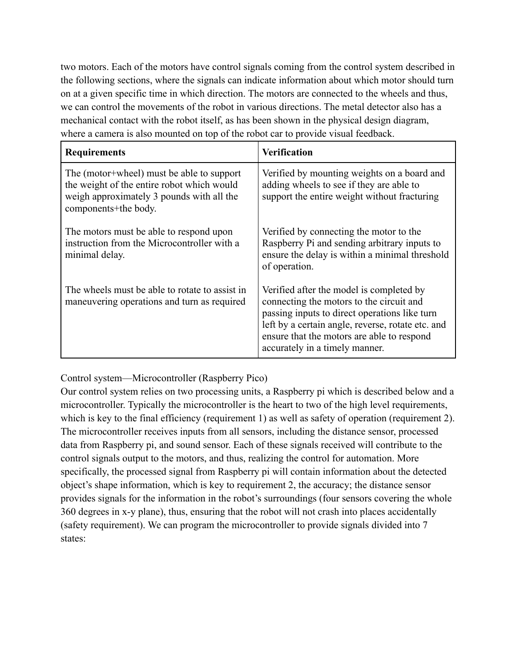two motors. Each of the motors have control signals coming from the control system described in the following sections, where the signals can indicate information about which motor should turn on at a given specific time in which direction. The motors are connected to the wheels and thus, we can control the movements of the robot in various directions. The metal detector also has a mechanical contact with the robot itself, as has been shown in the physical design diagram, where a camera is also mounted on top of the robot car to provide visual feedback.

| <b>Requirements</b>                                                                                                                                          | Verification                                                                                                                                                                                                                                                               |
|--------------------------------------------------------------------------------------------------------------------------------------------------------------|----------------------------------------------------------------------------------------------------------------------------------------------------------------------------------------------------------------------------------------------------------------------------|
| The (motor+wheel) must be able to support<br>the weight of the entire robot which would<br>weigh approximately 3 pounds with all the<br>components+the body. | Verified by mounting weights on a board and<br>adding wheels to see if they are able to<br>support the entire weight without fracturing                                                                                                                                    |
| The motors must be able to respond upon<br>instruction from the Microcontroller with a<br>minimal delay.                                                     | Verified by connecting the motor to the<br>Raspberry Pi and sending arbitrary inputs to<br>ensure the delay is within a minimal threshold<br>of operation.                                                                                                                 |
| The wheels must be able to rotate to assist in<br>maneuvering operations and turn as required                                                                | Verified after the model is completed by<br>connecting the motors to the circuit and<br>passing inputs to direct operations like turn<br>left by a certain angle, reverse, rotate etc. and<br>ensure that the motors are able to respond<br>accurately in a timely manner. |

Control system—Microcontroller (Raspberry Pico)

Our control system relies on two processing units, a Raspberry pi which is described below and a microcontroller. Typically the microcontroller is the heart to two of the high level requirements, which is key to the final efficiency (requirement 1) as well as safety of operation (requirement 2). The microcontroller receives inputs from all sensors, including the distance sensor, processed data from Raspberry pi, and sound sensor. Each of these signals received will contribute to the control signals output to the motors, and thus, realizing the control for automation. More specifically, the processed signal from Raspberry pi will contain information about the detected object's shape information, which is key to requirement 2, the accuracy; the distance sensor provides signals for the information in the robot's surroundings (four sensors covering the whole 360 degrees in x-y plane), thus, ensuring that the robot will not crash into places accidentally (safety requirement). We can program the microcontroller to provide signals divided into 7 states: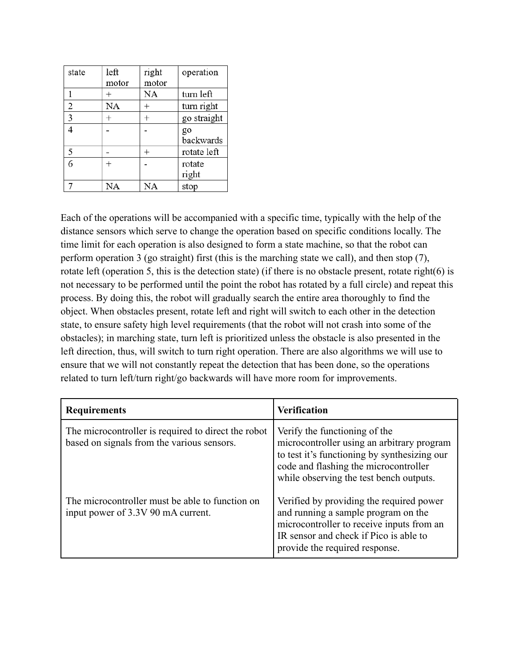| state | left  | right | operation   |
|-------|-------|-------|-------------|
|       | motor | motor |             |
|       |       | NA    | turn left   |
| 2     | NA    | $^+$  | turn right  |
| 3     |       |       | go straight |
|       |       |       | go          |
|       |       |       | backwards   |
| 5     |       |       | rotate left |
| 6     |       |       | rotate      |
|       |       |       | right       |
|       | NA    | NA    | stop        |

Each of the operations will be accompanied with a specific time, typically with the help of the distance sensors which serve to change the operation based on specific conditions locally. The time limit for each operation is also designed to form a state machine, so that the robot can perform operation 3 (go straight) first (this is the marching state we call), and then stop (7), rotate left (operation 5, this is the detection state) (if there is no obstacle present, rotate right(6) is not necessary to be performed until the point the robot has rotated by a full circle) and repeat this process. By doing this, the robot will gradually search the entire area thoroughly to find the object. When obstacles present, rotate left and right will switch to each other in the detection state, to ensure safety high level requirements (that the robot will not crash into some of the obstacles); in marching state, turn left is prioritized unless the obstacle is also presented in the left direction, thus, will switch to turn right operation. There are also algorithms we will use to ensure that we will not constantly repeat the detection that has been done, so the operations related to turn left/turn right/go backwards will have more room for improvements.

| <b>Requirements</b>                                                                               | <b>Verification</b>                                                                                                                                                                                             |
|---------------------------------------------------------------------------------------------------|-----------------------------------------------------------------------------------------------------------------------------------------------------------------------------------------------------------------|
| The microcontroller is required to direct the robot<br>based on signals from the various sensors. | Verify the functioning of the<br>microcontroller using an arbitrary program<br>to test it's functioning by synthesizing our<br>code and flashing the microcontroller<br>while observing the test bench outputs. |
| The microcontroller must be able to function on<br>input power of 3.3V 90 mA current.             | Verified by providing the required power<br>and running a sample program on the<br>microcontroller to receive inputs from an<br>IR sensor and check if Pico is able to<br>provide the required response.        |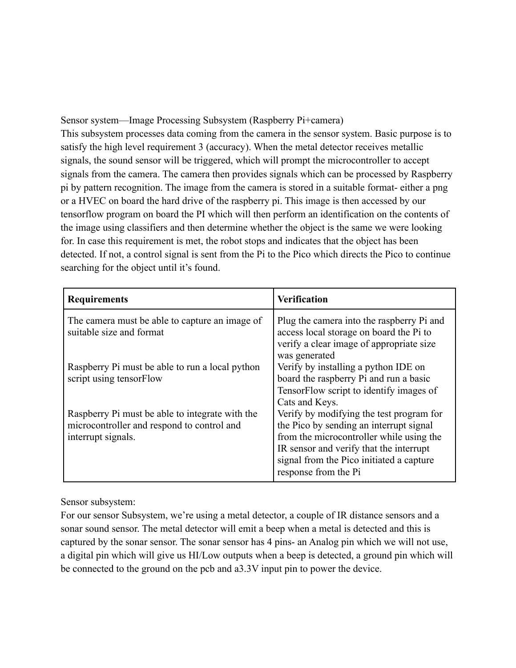Sensor system—Image Processing Subsystem (Raspberry Pi+camera) This subsystem processes data coming from the camera in the sensor system. Basic purpose is to satisfy the high level requirement 3 (accuracy). When the metal detector receives metallic signals, the sound sensor will be triggered, which will prompt the microcontroller to accept signals from the camera. The camera then provides signals which can be processed by Raspberry pi by pattern recognition. The image from the camera is stored in a suitable format- either a png or a HVEC on board the hard drive of the raspberry pi. This image is then accessed by our tensorflow program on board the PI which will then perform an identification on the contents of the image using classifiers and then determine whether the object is the same we were looking for. In case this requirement is met, the robot stops and indicates that the object has been detected. If not, a control signal is sent from the Pi to the Pico which directs the Pico to continue searching for the object until it's found.

| <b>Requirements</b>                                                                                                 | <b>Verification</b>                                                                                                                                                                                                                            |
|---------------------------------------------------------------------------------------------------------------------|------------------------------------------------------------------------------------------------------------------------------------------------------------------------------------------------------------------------------------------------|
| The camera must be able to capture an image of<br>suitable size and format                                          | Plug the camera into the raspberry Pi and<br>access local storage on board the Pi to<br>verify a clear image of appropriate size<br>was generated                                                                                              |
| Raspberry Pi must be able to run a local python<br>script using tensorFlow                                          | Verify by installing a python IDE on<br>board the raspberry Pi and run a basic<br>TensorFlow script to identify images of<br>Cats and Keys.                                                                                                    |
| Raspberry Pi must be able to integrate with the<br>microcontroller and respond to control and<br>interrupt signals. | Verify by modifying the test program for<br>the Pico by sending an interrupt signal<br>from the microcontroller while using the<br>IR sensor and verify that the interrupt<br>signal from the Pico initiated a capture<br>response from the Pi |

Sensor subsystem:

For our sensor Subsystem, we're using a metal detector, a couple of IR distance sensors and a sonar sound sensor. The metal detector will emit a beep when a metal is detected and this is captured by the sonar sensor. The sonar sensor has 4 pins- an Analog pin which we will not use, a digital pin which will give us HI/Low outputs when a beep is detected, a ground pin which will be connected to the ground on the pcb and a3.3V input pin to power the device.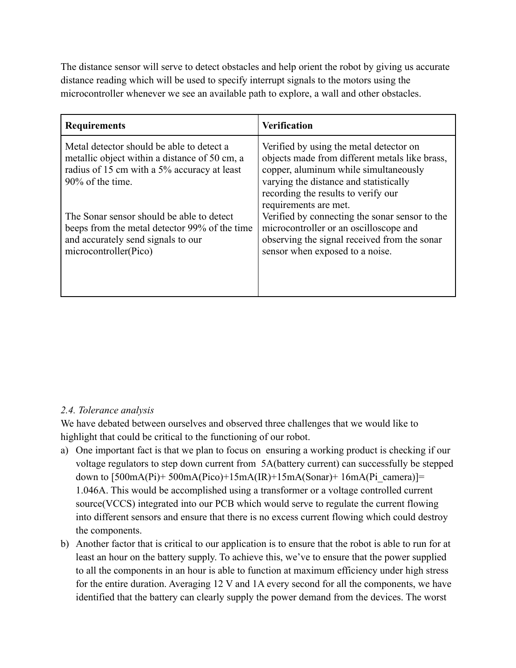The distance sensor will serve to detect obstacles and help orient the robot by giving us accurate distance reading which will be used to specify interrupt signals to the motors using the microcontroller whenever we see an available path to explore, a wall and other obstacles.

| <b>Requirements</b>                                                                                                                                           | <b>Verification</b>                                                                                                                                                                                                                          |
|---------------------------------------------------------------------------------------------------------------------------------------------------------------|----------------------------------------------------------------------------------------------------------------------------------------------------------------------------------------------------------------------------------------------|
| Metal detector should be able to detect a<br>metallic object within a distance of 50 cm, a<br>radius of 15 cm with a 5% accuracy at least<br>90% of the time. | Verified by using the metal detector on<br>objects made from different metals like brass,<br>copper, aluminum while simultaneously<br>varying the distance and statistically<br>recording the results to verify our<br>requirements are met. |
| The Sonar sensor should be able to detect<br>beeps from the metal detector 99% of the time<br>and accurately send signals to our<br>microcontroller(Pico)     | Verified by connecting the sonar sensor to the<br>microcontroller or an oscilloscope and<br>observing the signal received from the sonar<br>sensor when exposed to a noise.                                                                  |

### *2.4. Tolerance analysis*

We have debated between ourselves and observed three challenges that we would like to highlight that could be critical to the functioning of our robot.

- a) One important fact is that we plan to focus on ensuring a working product is checking if our voltage regulators to step down current from 5A(battery current) can successfully be stepped down to  $[500mA(Pi) + 500mA(Pico) + 15mA(R) + 15mA(Sonar) + 16mA(Pi)$  camera)]= 1.046A. This would be accomplished using a transformer or a voltage controlled current source(VCCS) integrated into our PCB which would serve to regulate the current flowing into different sensors and ensure that there is no excess current flowing which could destroy the components.
- b) Another factor that is critical to our application is to ensure that the robot is able to run for at least an hour on the battery supply. To achieve this, we've to ensure that the power supplied to all the components in an hour is able to function at maximum efficiency under high stress for the entire duration. Averaging 12 V and 1A every second for all the components, we have identified that the battery can clearly supply the power demand from the devices. The worst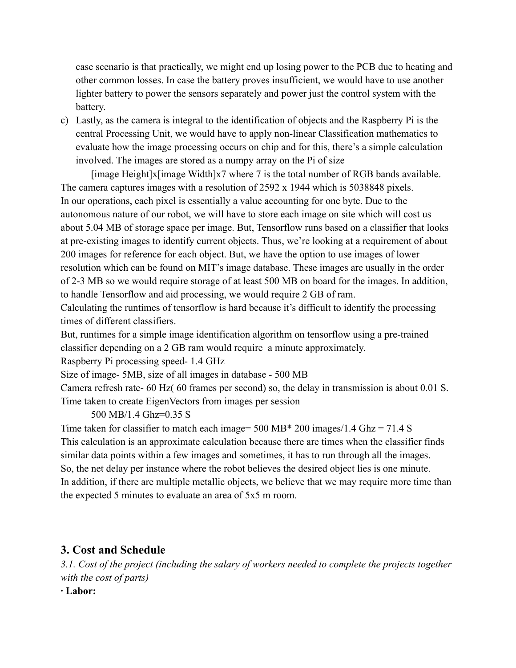case scenario is that practically, we might end up losing power to the PCB due to heating and other common losses. In case the battery proves insufficient, we would have to use another lighter battery to power the sensors separately and power just the control system with the battery.

c) Lastly, as the camera is integral to the identification of objects and the Raspberry Pi is the central Processing Unit, we would have to apply non-linear Classification mathematics to evaluate how the image processing occurs on chip and for this, there's a simple calculation involved. The images are stored as a numpy array on the Pi of size

[image Height]x[image Width]x7 where 7 is the total number of RGB bands available. The camera captures images with a resolution of 2592 x 1944 which is 5038848 pixels. In our operations, each pixel is essentially a value accounting for one byte. Due to the autonomous nature of our robot, we will have to store each image on site which will cost us about 5.04 MB of storage space per image. But, Tensorflow runs based on a classifier that looks at pre-existing images to identify current objects. Thus, we're looking at a requirement of about 200 images for reference for each object. But, we have the option to use images of lower resolution which can be found on MIT's image database. These images are usually in the order of 2-3 MB so we would require storage of at least 500 MB on board for the images. In addition, to handle Tensorflow and aid processing, we would require 2 GB of ram.

Calculating the runtimes of tensorflow is hard because it's difficult to identify the processing times of different classifiers.

But, runtimes for a simple image identification algorithm on tensorflow using a pre-trained classifier depending on a 2 GB ram would require a minute approximately.

Raspberry Pi processing speed- 1.4 GHz

Size of image- 5MB, size of all images in database - 500 MB

Camera refresh rate- 60 Hz( 60 frames per second) so, the delay in transmission is about 0.01 S. Time taken to create EigenVectors from images per session

500 MB/1.4 Ghz=0.35 S

Time taken for classifier to match each image= 500 MB\* 200 images/1.4 Ghz = 71.4 S This calculation is an approximate calculation because there are times when the classifier finds similar data points within a few images and sometimes, it has to run through all the images. So, the net delay per instance where the robot believes the desired object lies is one minute. In addition, if there are multiple metallic objects, we believe that we may require more time than the expected 5 minutes to evaluate an area of 5x5 m room.

# **3. Cost and Schedule**

*3.1. Cost of the project (including the salary of workers needed to complete the projects together with the cost of parts)*

**∙ Labor:**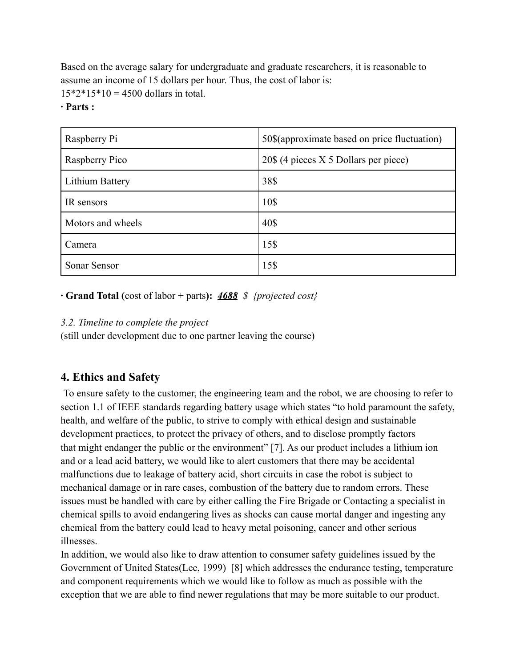Based on the average salary for undergraduate and graduate researchers, it is reasonable to assume an income of 15 dollars per hour. Thus, the cost of labor is:  $15*2*15*10 = 4500$  dollars in total.

#### **∙ Parts :**

| Raspberry Pi      | 50\$(approximate based on price fluctuation) |
|-------------------|----------------------------------------------|
| Raspberry Pico    | 20\$ (4 pieces X 5 Dollars per piece)        |
| Lithium Battery   | 38\$                                         |
| IR sensors        | 10\$                                         |
| Motors and wheels | 40\$                                         |
| Camera            | 15\$                                         |
| Sonar Sensor      | 15\$                                         |

#### **∙ Grand Total (**cost of labor + parts**):** *4688 \$ {projected cost}*

#### *3.2. Timeline to complete the project*

(still under development due to one partner leaving the course)

# **4. Ethics and Safety**

To ensure safety to the customer, the engineering team and the robot, we are choosing to refer to section 1.1 of IEEE standards regarding battery usage which states "to hold paramount the safety, health, and welfare of the public, to strive to comply with ethical design and sustainable development practices, to protect the privacy of others, and to disclose promptly factors that might endanger the public or the environment" [7]. As our product includes a lithium ion and or a lead acid battery, we would like to alert customers that there may be accidental malfunctions due to leakage of battery acid, short circuits in case the robot is subject to mechanical damage or in rare cases, combustion of the battery due to random errors. These issues must be handled with care by either calling the Fire Brigade or Contacting a specialist in chemical spills to avoid endangering lives as shocks can cause mortal danger and ingesting any chemical from the battery could lead to heavy metal poisoning, cancer and other serious illnesses.

In addition, we would also like to draw attention to consumer safety guidelines issued by the Government of United States(Lee, 1999) [8] which addresses the endurance testing, temperature and component requirements which we would like to follow as much as possible with the exception that we are able to find newer regulations that may be more suitable to our product.